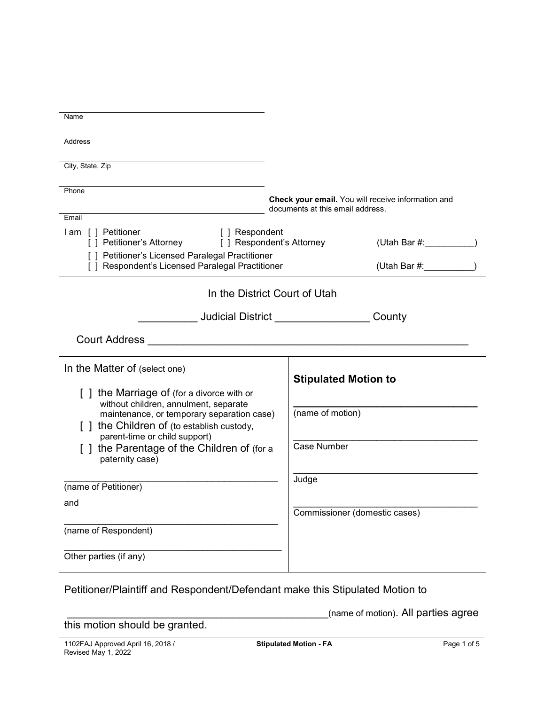| Name                                                                                                 |                                                    |
|------------------------------------------------------------------------------------------------------|----------------------------------------------------|
|                                                                                                      |                                                    |
| <b>Address</b>                                                                                       |                                                    |
|                                                                                                      |                                                    |
| City, State, Zip                                                                                     |                                                    |
|                                                                                                      |                                                    |
| Phone                                                                                                | Check your email. You will receive information and |
|                                                                                                      | documents at this email address.                   |
| Email                                                                                                |                                                    |
| I am [ ] Petitioner<br>[ ] Respondent<br>[ ] Petitioner's Attorney [ ] Respondent's Attorney         | (Utah Bar #: __________                            |
| [ ] Petitioner's Licensed Paralegal Practitioner<br>[ ] Respondent's Licensed Paralegal Practitioner | (Utah Bar #:                                       |
| In the District Court of Utah                                                                        |                                                    |
|                                                                                                      |                                                    |
|                                                                                                      | Judicial District County                           |
|                                                                                                      |                                                    |
| In the Matter of (select one)                                                                        |                                                    |
|                                                                                                      | <b>Stipulated Motion to</b>                        |
| [] the Marriage of (for a divorce with or<br>without children, annulment, separate                   |                                                    |
| maintenance, or temporary separation case)                                                           | (name of motion)                                   |
| [] the Children of (to establish custody,                                                            |                                                    |
| parent-time or child support)                                                                        |                                                    |
| [] the Parentage of the Children of (for a                                                           | Case Number                                        |
| paternity case)                                                                                      |                                                    |
|                                                                                                      | Judge                                              |
| (name of Petitioner)                                                                                 |                                                    |
| and                                                                                                  | Commissioner (domestic cases)                      |
|                                                                                                      |                                                    |
| (name of Respondent)                                                                                 |                                                    |
| Other parties (if any)                                                                               |                                                    |
|                                                                                                      |                                                    |

Petitioner/Plaintiff and Respondent/Defendant make this Stipulated Motion to

\_\_\_\_\_\_\_\_\_\_\_\_\_\_\_\_\_\_\_\_\_\_\_\_\_\_\_\_\_\_\_\_\_\_\_\_\_\_\_\_\_\_\_\_(name of motion). All parties agree

this motion should be granted.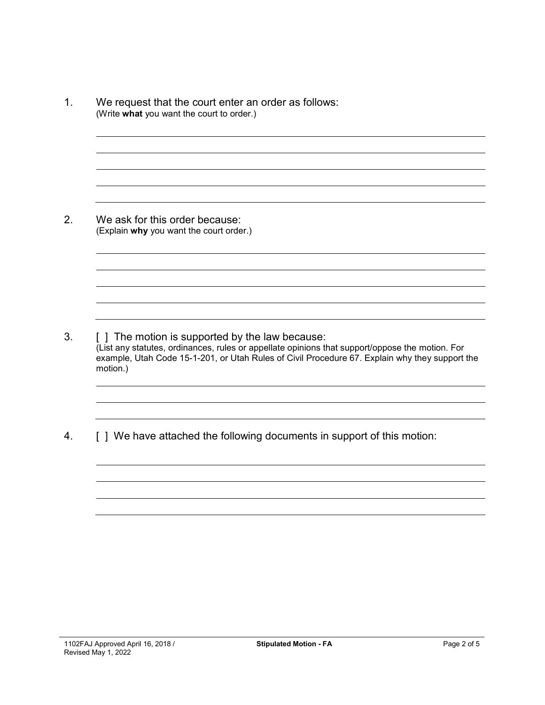1. We request that the court enter an order as follows: (Write **what** you want the court to order.) 2. We ask for this order because: (Explain **why** you want the court order.) 3. [ ] The motion is supported by the law because: (List any statutes, ordinances, rules or appellate opinions that support/oppose the motion. For example, Utah Code 15-1-201, or Utah Rules of Civil Procedure 67. Explain why they support the motion.) 4. [ ] We have attached the following documents in support of this motion: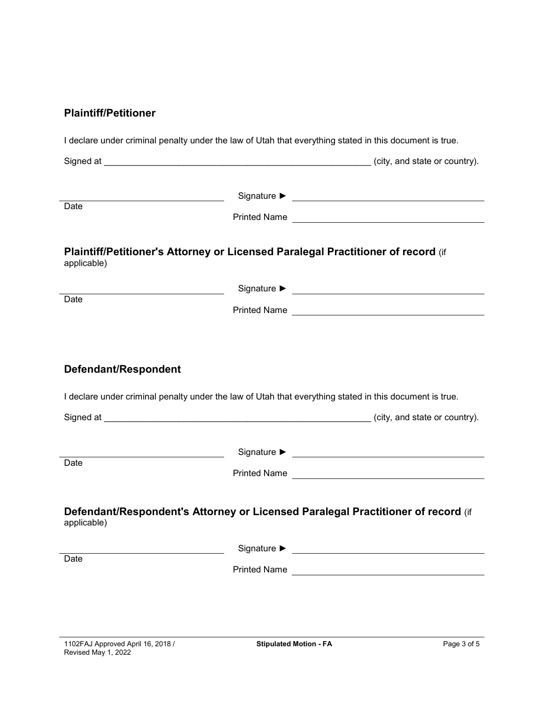### **Plaintiff/Petitioner**

| Date                 |                                                                                                         |  |
|----------------------|---------------------------------------------------------------------------------------------------------|--|
| applicable)          | Plaintiff/Petitioner's Attorney or Licensed Paralegal Practitioner of record (if                        |  |
|                      |                                                                                                         |  |
| Date                 |                                                                                                         |  |
| Defendant/Respondent |                                                                                                         |  |
|                      | I declare under criminal penalty under the law of Utah that everything stated in this document is true. |  |
|                      |                                                                                                         |  |
|                      | Printed Name <u>__________________________________</u>                                                  |  |
| Date<br>applicable)  | Defendant/Respondent's Attorney or Licensed Paralegal Practitioner of record (if                        |  |
| Date                 | Signature $\blacktriangleright$                                                                         |  |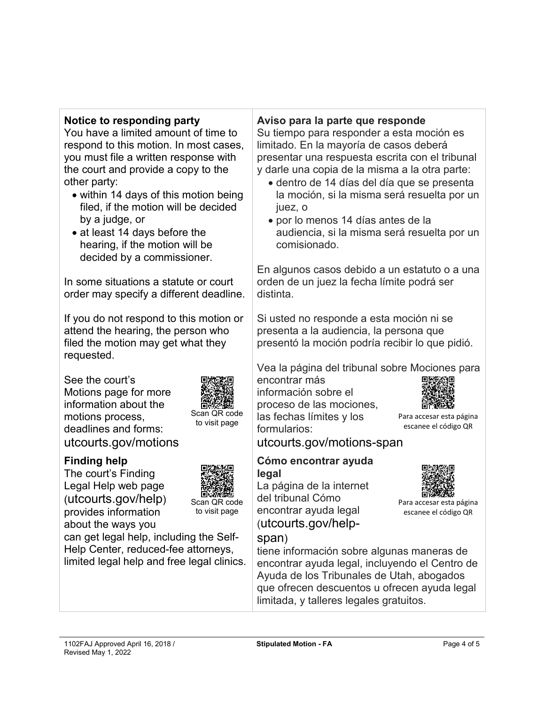# **Notice to responding party**

You have a limited amount of time to respond to this motion. In most cases, you must file a written response with the court and provide a copy to the other party:

- within 14 days of this motion being filed, if the motion will be decided by a judge, or
- at least 14 days before the hearing, if the motion will be decided by a commissioner.

In some situations a statute or court order may specify a different deadline.

If you do not respond to this motion or attend the hearing, the person who filed the motion may get what they requested.

See the court's Motions page for more information about the motions process, deadlines and forms: utcourts.gov/motions



Revised May 1, 2022

The court's Finding Legal Help web page (utcourts.gov/help) provides information about the ways you



Scan QR code to visit page

Scan QR code to visit page

can get legal help, including the Self-Help Center, reduced-fee attorneys, limited legal help and free legal clinics.

# **Aviso para la parte que responde**

Su tiempo para responder a esta moción es limitado. En la mayoría de casos deberá presentar una respuesta escrita con el tribunal y darle una copia de la misma a la otra parte:

- dentro de 14 días del día que se presenta la moción, si la misma será resuelta por un juez, o
- por lo menos 14 días antes de la audiencia, si la misma será resuelta por un comisionado.

En algunos casos debido a un estatuto o a una orden de un juez la fecha límite podrá ser distinta.

Si usted no responde a esta moción ni se presenta a la audiencia, la persona que presentó la moción podría recibir lo que pidió.

Vea la página del tribunal sobre Mociones para

encontrar más información sobre el proceso de las mociones, las fechas límites y los formularios:



Para accesar esta página escanee el código QR

Para accesar esta página escanee el código QR

utcourts.gov/motions-span

#### **Cómo encontrar ayuda legal**

La página de la internet del tribunal Cómo encontrar ayuda legal (utcourts.gov/help-

#### span)

tiene información sobre algunas maneras de encontrar ayuda legal, incluyendo el Centro de Ayuda de los Tribunales de Utah, abogados que ofrecen descuentos u ofrecen ayuda legal limitada, y talleres legales gratuitos.